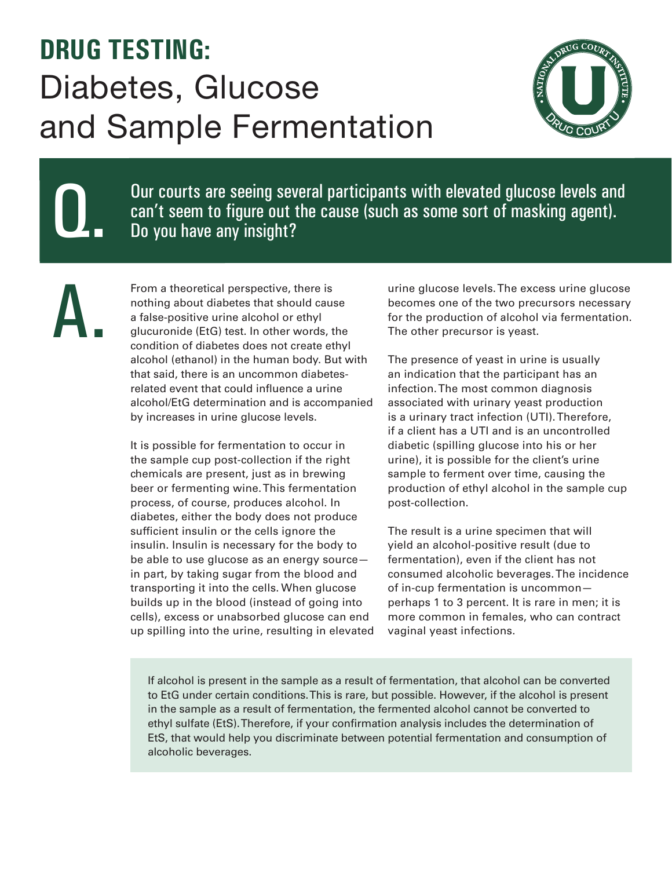## **DRUG TESTING:**  Diabetes, Glucose and Sample Fermentation

Q.

A.



Our courts are seeing several participants with elevated glucose levels and can't seem to figure out the cause (such as some sort of masking agent). Do you have any insight?

From a theoretical perspective, there is nothing about diabetes that should cause a false-positive urine alcohol or ethyl glucuronide (EtG) test. In other words, the condition of diabetes does not create ethyl alcohol (ethanol) in the human body. But with that said, there is an uncommon diabetesrelated event that could influence a urine alcohol/EtG determination and is accompanied by increases in urine glucose levels.

It is possible for fermentation to occur in the sample cup post-collection if the right chemicals are present, just as in brewing beer or fermenting wine. This fermentation process, of course, produces alcohol. In diabetes, either the body does not produce sufficient insulin or the cells ignore the insulin. Insulin is necessary for the body to be able to use glucose as an energy source in part, by taking sugar from the blood and transporting it into the cells. When glucose builds up in the blood (instead of going into cells), excess or unabsorbed glucose can end up spilling into the urine, resulting in elevated urine glucose levels. The excess urine glucose becomes one of the two precursors necessary for the production of alcohol via fermentation. The other precursor is yeast.

The presence of yeast in urine is usually an indication that the participant has an infection. The most common diagnosis associated with urinary yeast production is a urinary tract infection (UTI). Therefore, if a client has a UTI and is an uncontrolled diabetic (spilling glucose into his or her urine), it is possible for the client's urine sample to ferment over time, causing the production of ethyl alcohol in the sample cup post-collection.

The result is a urine specimen that will yield an alcohol-positive result (due to fermentation), even if the client has not consumed alcoholic beverages. The incidence of in-cup fermentation is uncommon perhaps 1 to 3 percent. It is rare in men; it is more common in females, who can contract vaginal yeast infections.

If alcohol is present in the sample as a result of fermentation, that alcohol can be converted to EtG under certain conditions. This is rare, but possible. However, if the alcohol is present in the sample as a result of fermentation, the fermented alcohol cannot be converted to ethyl sulfate (EtS). Therefore, if your confirmation analysis includes the determination of EtS, that would help you discriminate between potential fermentation and consumption of alcoholic beverages.